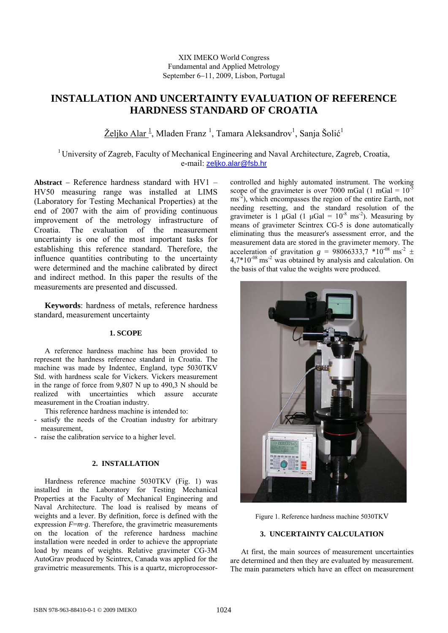# **INSTALLATION AND UNCERTAINTY EVALUATION OF REFERENCE HARDNESS STANDARD OF CROATIA**

Željko Alar<sup>1</sup>, Mladen Franz<sup>1</sup>, Tamara Aleksandrov<sup>1</sup>, Sanja Šolić<sup>1</sup>

 $1$ University of Zagreb, Faculty of Mechanical Engineering and Naval Architecture, Zagreb, Croatia, e-mail: [zeljko.alar@fsb.hr](mailto:zeljko.alar@fsb.hr)

**Abstract** − Reference hardness standard with HV1 – HV50 measuring range was installed at LIMS (Laboratory for Testing Mechanical Properties) at the end of 2007 with the aim of providing continuous improvement of the metrology infrastructure of Croatia. The evaluation of the measurement uncertainty is one of the most important tasks for establishing this reference standard. Therefore, the influence quantities contributing to the uncertainty were determined and the machine calibrated by direct and indirect method. In this paper the results of the measurements are presented and discussed.

**Keywords**: hardness of metals, reference hardness standard, measurement uncertainty

## **1. SCOPE**

A reference hardness machine has been provided to represent the hardness reference standard in Croatia. The machine was made by Indentec, England, type 5030TKV Std. with hardness scale for Vickers. Vickers measurement in the range of force from 9,807 N up to 490,3 N should be realized with uncertainties which assure accurate measurement in the Croatian industry.

This reference hardness machine is intended to:

- satisfy the needs of the Croatian industry for arbitrary measurement,
- raise the calibration service to a higher level.

## **2. INSTALLATION**

 Hardness reference machine 5030TKV (Fig. 1) was installed in the Laboratory for Testing Mechanical Properties at the Faculty of Mechanical Engineering and Naval Architecture. The load is realised by means of weights and a lever. By definition, force is defined with the expression  $F=m·g$ . Therefore, the gravimetric measurements on the location of the reference hardness machine installation were needed in order to achieve the appropriate load by means of weights. Relative gravimeter CG-3M AutoGrav produced by Scintrex, Canada was applied for the gravimetric measurements. This is a quartz, microprocessorcontrolled and highly automated instrument. The working scope of the gravimeter is over 7000 mGal (1 mGal =  $10^{-5}$ ) ms<sup>-2</sup>), which encompasses the region of the entire Earth, not needing resetting, and the standard resolution of the gravimeter is 1  $\mu$ Gal (1  $\mu$ Gal = 10<sup>-8</sup> ms<sup>-2</sup>). Measuring by means of gravimeter Scintrex CG-5 is done automatically eliminating thus the measurer's assessment error, and the measurement data are stored in the gravimeter memory. The acceleration of gravitation  $g = 98066333,7$   $*10^{-08}$  ms<sup>-2</sup> ±  $4.7*10^{-08}$  ms<sup>-2</sup> was obtained by analysis and calculation. On the basis of that value the weights were produced.



Figure 1. Reference hardness machine 5030TKV

## **3. UNCERTAINTY CALCULATION**

At first, the main sources of measurement uncertainties are determined and then they are evaluated by measurement. The main parameters which have an effect on measurement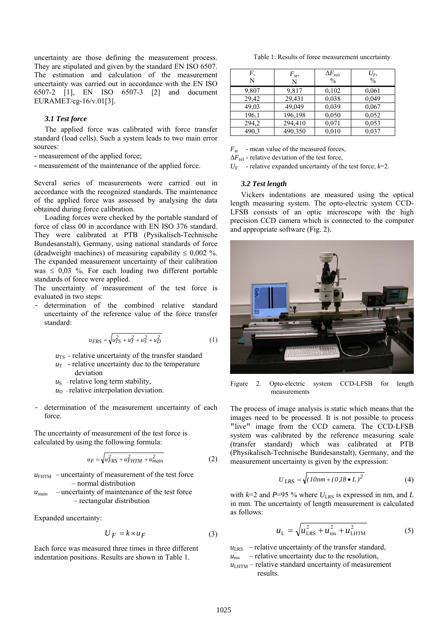uncertainty are those defining the measurement process. They are stipulated and given by the standard EN ISO 6507. The estimation and calculation of the measurement uncertainty was carried out in accordance with the EN ISO 6507-2 [1], EN ISO 6507-3 [2] and document EURAMET/cg-16/v.01[3].

### *3.1 Test force*

The applied force was calibrated with force transfer standard (load cells). Such a system leads to two main error sources:

- measurement of the applied force;
- measurement of the maintenance of the applied force.

Several series of measurements were carried out in accordance with the recognized standards. The maintenance of the applied force was assessed by analysing the data obtained during force calibration.

Loading forces were checked by the portable standard of force of class 00 in accordance with EN ISO 376 standard. They were calibrated at PTB (Pysikalisch-Technische Bundesanstalt), Germany, using national standards of force (deadweight machines) of measuring capability  $\leq 0.002$  %. The expanded measurement uncertainty of their calibration was  $\leq$  0,03 %. For each loading two different portable standards of force were applied.

The uncertainty of measurement of the test force is evaluated in two steps:

determination of the combined relative standard uncertainty of the reference value of the force transfer standard:

$$
u_{FRS} = \sqrt{u_{TS}^2 + u_T^2 + u_S^2 + u_D^2}
$$
 (1)

- $u_{TS}$  relative uncertainty of the transfer standard
- $u_T$  relative uncertainty due to the temperature
- deviation
- $u<sub>S</sub>$  relative long term stability,
- $u_D$  relative interpolation deviation.
- determination of the measurement uncertainty of each force.

The uncertainty of measurement of the test force is calculated by using the following formula:

$$
u_F = \sqrt{u_{FRS}^2 + u_{FHTM}^2 + u_{main}^2}
$$
 (2)

 $u_{\text{FHTM}}$  – uncertainty of measurement of the test force – normal distribution  $u_{\text{main}}$  – uncertainty of maintenance of the test force – rectangular distribution

Expanded uncertainty:

$$
U_F = k \times u_F \tag{3}
$$

Each force was measured three times in three different indentation positions. Results are shown in Table 1.

Table 1: Results of force measurement uncertainty

| F,<br>N | $F_{\rm sr}$<br>N | $\Delta F_{\text{rel}}$<br>$\frac{0}{0}$ | $U_{\text{F}}$<br>$\frac{0}{0}$ |
|---------|-------------------|------------------------------------------|---------------------------------|
| 9,807   | 9,817             | 0,102                                    | 0,061                           |
| 29,42   | 29,431            | 0.038                                    | 0,049                           |
| 49,03   | 49,049            | 0,039                                    | 0,067                           |
| 196,1   | 196,198           | 0,050                                    | 0.052                           |
| 294,2   | 294,410           | 0,071                                    | 0.053                           |
| 490.3   | 490,350           | 0,010                                    | 0,037                           |

*F<sub>sr</sub>* - mean value of the measured forces,

 $\Delta F_{\text{rel}}$  - relative deviation of the test force,

 $U_F$  - relative expanded uncertainty of the test force;  $k=2$ .

## *3.2 Test length*

Vickers indentations are measured using the optical length measuring system. The opto-electric system CCD-LFSB consists of an optic microscope with the high precision CCD camera which is connected to the computer and appropriate software (Fig. 2).



Figure 2. Opto-electric system CCD-LFSB for length measurements

The process of image analysis is static which means that the images need to be processed. It is not possible to process "live" image from the CCD camera. The CCD-LFSB system was calibrated by the reference measuring scale (transfer standard) which was calibrated at PTB (Physikalisch-Technische Bundesanstalt), Germany, and the measurement uncertainty is given by the expression:

$$
U_{LRS} = \sqrt{(10nm + (0.18 \bullet L)^2)}
$$
 (4)

with  $k=2$  and  $P=95$  % where  $U_{LRS}$  is expressed in nm, and *L* in mm. The uncertainty of length measurement is calculated as follows:

$$
u_{\rm L} = \sqrt{u_{\rm LRS}^2 + u_{\rm ms}^2 + u_{\rm LHTM}^2}
$$
 (5)

 $u_{LRS}$  – relative uncertainty of the transfer standard,

- $u_{\text{ms}}$  relative uncertainty due to the resolution,
- $u<sub>LHTM</sub>$  relative standard uncertainty of measurement results.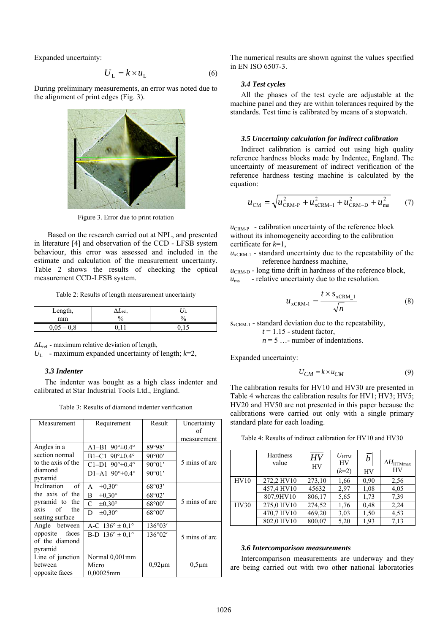Expanded uncertainty:

$$
U_{\rm L} = k \times u_{\rm L} \tag{6}
$$

During preliminary measurements, an error was noted due to the alignment of print edges (Fig. 3).



Figure 3. Error due to print rotation

Based on the research carried out at NPL, and presented in literature [4] and observation of the CCD - LFSB system behaviour, this error was assessed and included in the estimate and calculation of the measurement uncertainty. Table 2 shows the results of checking the optical measurement CCD-LFSB system.

Table 2: Results of length measurement uncertainty

| Length,        | 'YLrel, |    |
|----------------|---------|----|
| mm             | 'n      | 0. |
| $0,05-$<br>0,8 |         |    |

Δ*L*rel - maximum relative deviation of length,

 $U_L$  - maximum expanded uncertainty of length;  $k=2$ ,

#### *3.3 Indenter*

The indenter was bought as a high class indenter and calibrated at Star Industrial Tools Ltd., England.

Table 3: Results of diamond indenter verification

| Measurement                          | Requirement                        | Result           | Uncertainty   |  |
|--------------------------------------|------------------------------------|------------------|---------------|--|
|                                      |                                    |                  | of            |  |
|                                      |                                    |                  | measurement   |  |
| Angles in a                          | $A1 - B190^\circ \pm 0.4^\circ$    | 89°98'           |               |  |
| section normal                       | B1-C1 $90^{\circ} \pm 0.4^{\circ}$ | 90°00'           |               |  |
| to the axis of the                   | $C1-D1$ 90° $\pm$ 0.4°             | 90°01'           | 5 mins of arc |  |
| diamond<br>pyramid                   | $D1 - A190^\circ \pm 0.4^\circ$    | 90°01'           |               |  |
| Inclination<br>of                    | $\pm 0.30^{\circ}$<br>A            | 68°03'           |               |  |
| the axis of the                      | $\pm 0.30^{\circ}$<br>B            | 68°02'           |               |  |
| pyramid to the                       | C<br>$\pm 0.30^{\circ}$            | 68°00'           | 5 mins of arc |  |
| of<br>the<br>axis<br>seating surface | D<br>$\pm 0.30^\circ$              | 68°00'           |               |  |
| Angle between                        | A-C $136^{\circ} \pm 0.1^{\circ}$  | $136^{\circ}03'$ |               |  |
| opposite<br>faces                    | B-D $136^{\circ} \pm 0.1^{\circ}$  | 136°02'          | 5 mins of arc |  |
| of the diamond                       |                                    |                  |               |  |
| pyramid                              |                                    |                  |               |  |
| Line of junction                     | Normal 0,001mm                     |                  |               |  |
| between                              | Micro                              | $0.92 \mu m$     | $0,5 \mu m$   |  |
| opposite faces                       | 0,00025mm                          |                  |               |  |

The numerical results are shown against the values specified in EN ISO 6507-3.

#### *3.4 Test cycles*

All the phases of the test cycle are adjustable at the machine panel and they are within tolerances required by the standards. Test time is calibrated by means of a stopwatch.

#### *3.5 Uncertainty calculation for indirect calibration*

Indirect calibration is carried out using high quality reference hardness blocks made by Indentec, England. The uncertainty of measurement of indirect verification of the reference hardness testing machine is calculated by the equation:

$$
u_{\rm CM} = \sqrt{u_{\rm CKM-P}^2 + u_{\rm xCRM-I}^2 + u_{\rm CKM-D}^2 + u_{\rm ms}^2}
$$
 (7)

 $u_{\text{CRM-P}}$  - calibration uncertainty of the reference block without its inhomogeneity according to the calibration certificate for *k*=1,

 $u_{\text{vCRM-1}}$  - standard uncertainty due to the repeatability of the reference hardness machine,

 $u_{\text{CRM-D}}$  - long time drift in hardness of the reference block,  $u_{\text{ms}}$  - relative uncertainty due to the resolution.

$$
u_{\text{xCRM-1}} = \frac{t \times s_{\text{xCRM-1}}}{\sqrt{n}} \tag{8}
$$

 $s_{xCRM-1}$  - standard deviation due to the repeatability,

 $t = 1.15$  - student factor,

 $n = 5$  ...- number of indentations.

Expanded uncertainty:

$$
U_{CM} = k \times u_{CM} \tag{9}
$$

The calibration results for HV10 and HV30 are presented in Table 4 whereas the calibration results for HV1; HV3; HV5; HV20 and HV50 are not presented in this paper because the calibrations were carried out only with a single primary standard plate for each loading.

|      | Hardness<br>value | HV<br>HV | $U_{\rm HTM}$<br><b>HV</b><br>$(k=2)$ | $\bar{b}$<br>HV | $\Delta H_{\rm HTMmax}$<br><b>HV</b> |
|------|-------------------|----------|---------------------------------------|-----------------|--------------------------------------|
| HV10 | 272,2 HV10        | 273,10   | 1,66                                  | 0.90            | 2.56                                 |
|      | 457,4 HV10        | 45632    | 2,97                                  | 1,08            | 4,05                                 |
|      | 807,9HV10         | 806,17   | 5.65                                  | 1,73            | 7.39                                 |
| HV30 | 275,0 HV10        | 274,52   | 1,76                                  | 0.48            | 2,24                                 |
|      | 470,7 HV10        | 469,20   | 3.03                                  | 1,50            | 4,53                                 |
|      | 802,0 HV10        | 800,07   | 5,20                                  | 1.93            | 7.13                                 |

#### *3.6 Intercomparison measurements*

Intercomparison measurements are underway and they are being carried out with two other national laboratories